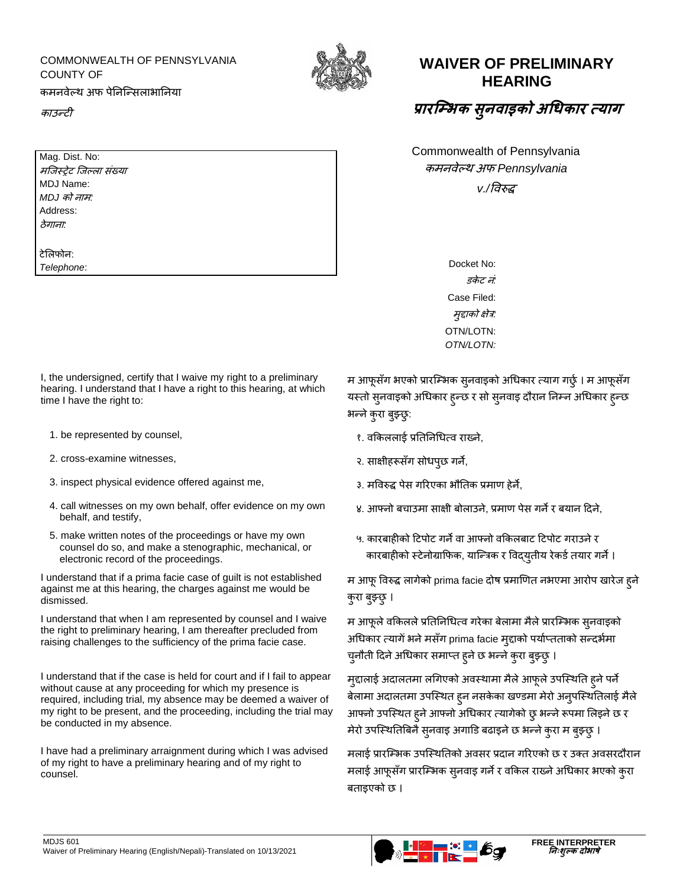## COMMONWEALTH OF PENNSYLVANIA COUNTY OF कमनवेल्थ अफ पेननन्सिलाभाननया

काउन्टी

Mag. Dist. No: मजिस्ट्रेट जिल्ला संख्या

MDJ Name: *MDJ* को नाम*:* Address: ठेगाना*:*

टेललफोन: *Telephone*:



## **WAIVER OF PRELIMINARY HEARING**

## **प्रारम्भभक सु वाइको अधिकार त्याग**

Commonwealth of Pennsylvania कमनवेल्थ अफ *Pennsylvania*

*v./*ववरुद्ध

Docket No: *डकेट नं:* Case Filed: मुद्दाको क्षेत्र*:* OTN/LOTN: *OTN/LOTN:*

I, the undersigned, certify that I waive my right to a preliminary hearing. I understand that I have a right to this hearing, at which time I have the right to:

- 
- 
- 3. inspect physical evidence offered against me, 2. मविरुद्ध पेस गरिएका भौतिक प्रमाण हेर्ने,
- 4. call witnesses on my own behalf, offer evidence on my own behalf, and testify,
- 5. make written notes of the proceedings or have my own counsel do so, and make a stenographic, mechanical, or electronic record of the proceedings.

I understand that if a prima facie case of guilt is not established against me at this hearing, the charges against me would be dismissed.

I understand that when I am represented by counsel and I waive the right to preliminary hearing, I am thereafter precluded from raising challenges to the sufficiency of the prima facie case.

I understand that if the case is held for court and if I fail to appear without cause at any proceeding for which my presence is required, including trial, my absence may be deemed a waiver of my right to be present, and the proceeding, including the trial may be conducted in my absence.

I have had a preliminary arraignment during which I was advised of my right to have a preliminary hearing and of my right to counsel.

म आफूसँग भएको प्रारम्भिक सुनवाइको अधिकार त्याग गर्छु । म आफूसँग यस्तो सुनवाइको अधिकार हुन्छ र सो सुनवाइ दौरान निम्न अधिकार हुन्छ भन्ने कुरा बुझ्छु:

- 1. be represented by counsel, *१. व*किललाई प्रतिनिधित्व राख्ने,
- 2. cross-examine witnesses, 2. and 2. साक्षीहरूसँग सोधपूछ गर्ने,
	-
	- ४. आफ्नो बचाउमा साक्षी बोलाउने, प्रमाण पेस गर्ने र बयान दिने,
	- ५. कारबाहीको टिपोट गर्ने वा आफ्नो वकिलबाट टिपोट गराउने र कारबाहीको स्टेनोग्राफिक, यान्त्रिक र विदयुतीय रेकर्ड तयार गर्ने ।

म आफूववरुद्ध लागेको prima facie दोष प्रमाणणत नभएमा आरोप खारेज हुने कुरा बुझ्छु ।

म आफूले वकिलले प्रतिनिधित्व गरेका बेलामा मैले प्रारम्भिक सुनवाइको अधिकार त्यागेँ भने मसँग prima facie मुद्दाको पर्याप्तताको सन्दर्भमा चुनौती दिने अधिकार समाप्त हुने छ भन्ने कुरा बुझ्छ् ।

मुद्दालाई अदालतमा लगिएको अवस्थामा मैले आफूले उपस्थिति हुने पर्ने बेलामा अदालतमा उपस्थित हून नसकेका खण्डमा मेरो अनुपस्थितिलाई मैले आफ्नो उपस्थित हुने आफ्नो अधिकार त्यागेको छु भन्ने रूपमा लिइने छ र मेरो उपस्थितिबिनै सुनवाइ अगाडि बढाइने छ भन्ने कुरा म बुझ्छ् ।

मलाई प्रारम्भिक उपस्थितिको अवसर प्रदान गरिएको छ र उक्त अवसरदौरान मलाई आफूसँग प्रारम्भिक स्नवाइ गर्ने र वकिल राख्ने अधिकार भएको कुरा बताइएको छ ।